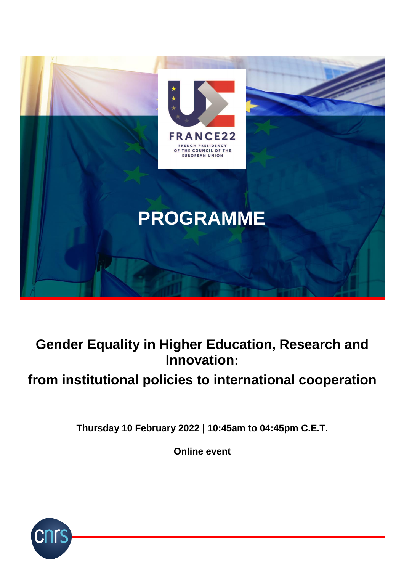

## **Gender Equality in Higher Education, Research and Innovation:**

# **from institutional policies to international cooperation**

**Thursday 10 February 2022 | 10:45am to 04:45pm C.E.T.**

**Online event**